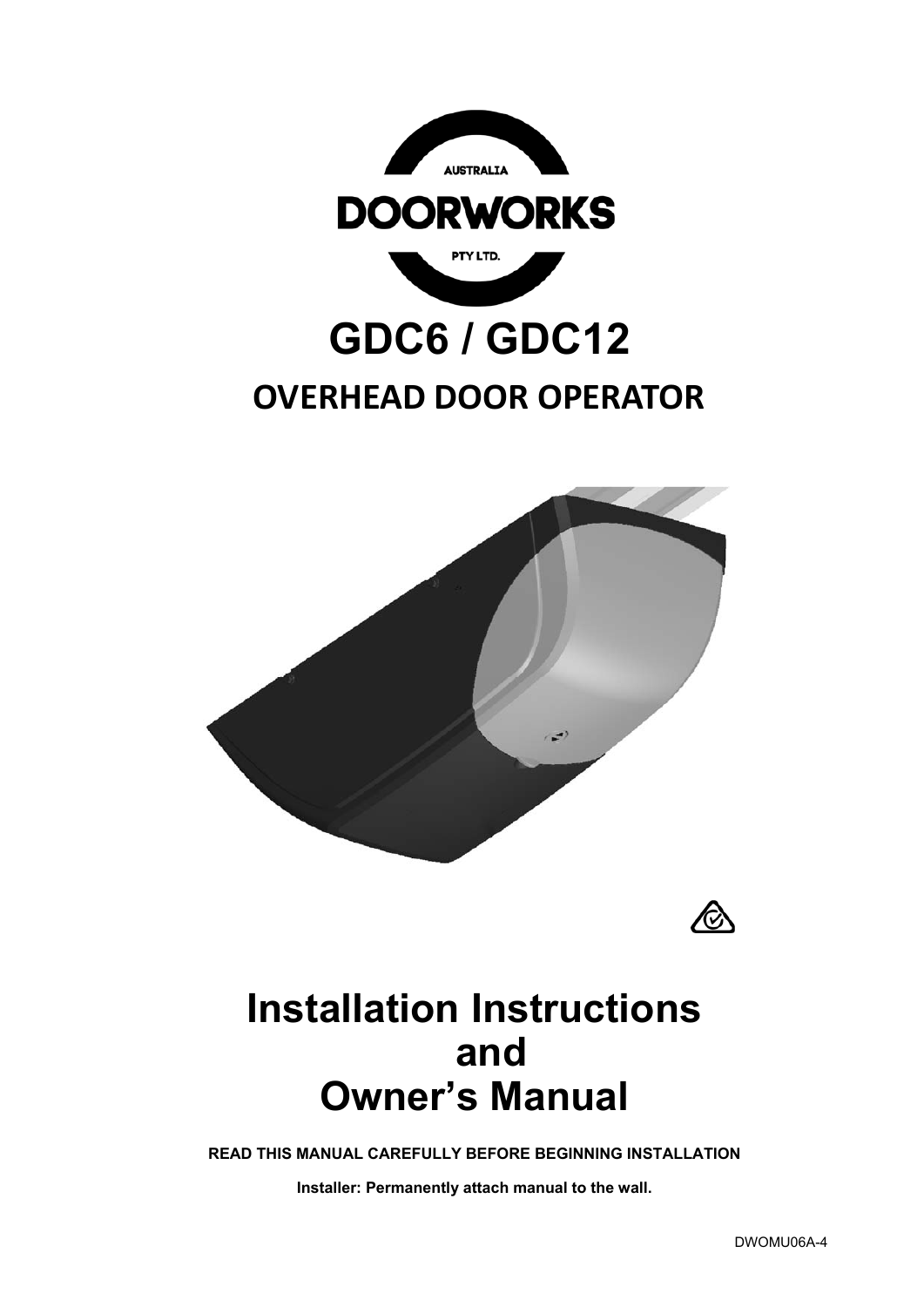

# **GDC6 / GDC12**

# **OVERHEAD DOOR OPERATOR**





# **Installation Instructions and Owner's Manual**

**READ THIS MANUAL CAREFULLY BEFORE BEGINNING INSTALLATION** 

**Installer: Permanently attach manual to the wall.**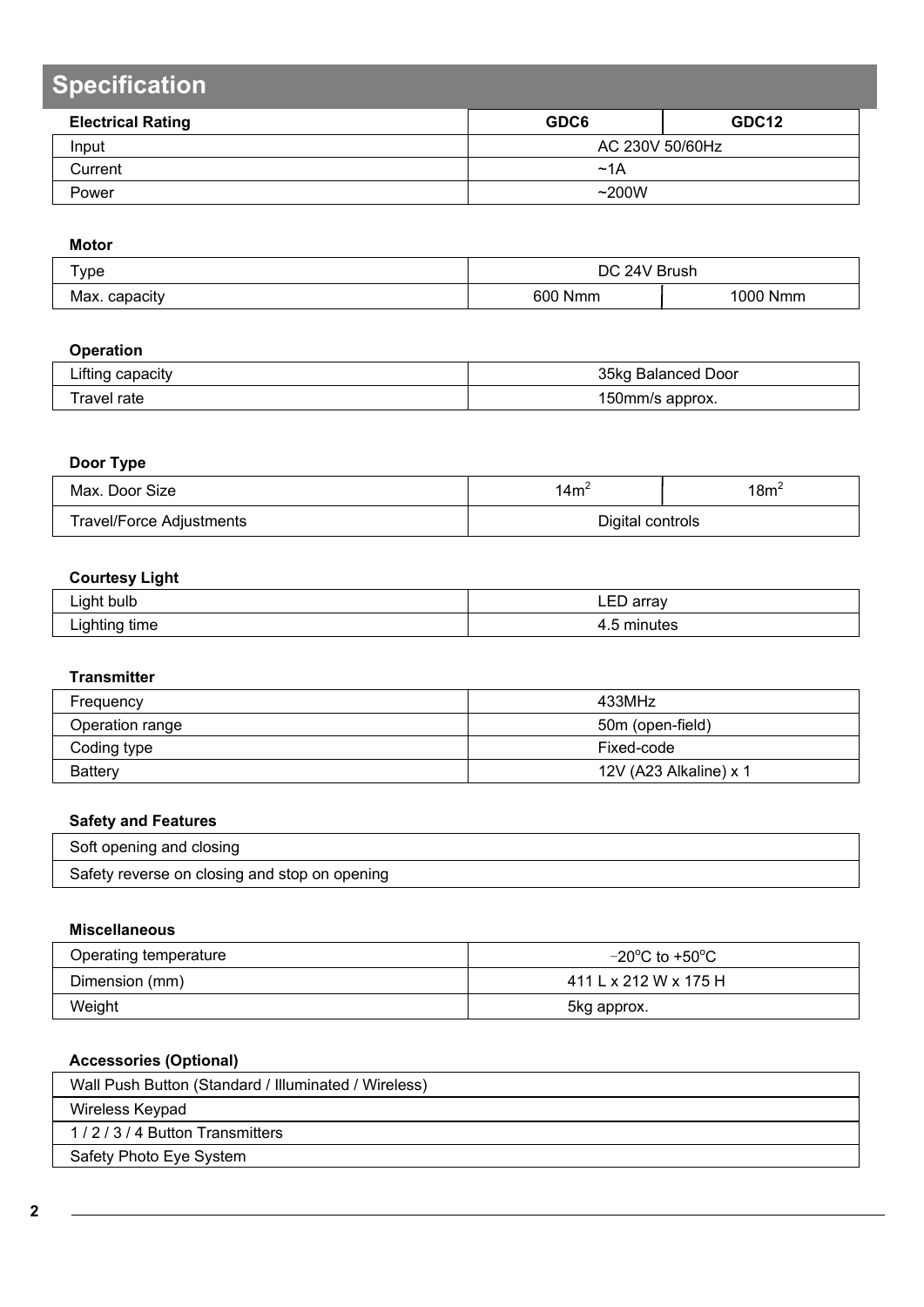# **Specification**

| <b>Electrical Rating</b> | GDC6            | GDC <sub>12</sub> |  |
|--------------------------|-----------------|-------------------|--|
| Input                    | AC 230V 50/60Hz |                   |  |
| Current                  | ~1A             |                   |  |
| Power                    | ~200W           |                   |  |

### **Motor**

| $\tau_{\text{Vpe}}$ | DC 24V Brush      |          |  |
|---------------------|-------------------|----------|--|
| Max. capacity       | 600<br><b>Nmm</b> | 1000 Nmm |  |

### **Operation**

| .<br>∟ıftınç<br>⊧capacıtv | 35kg<br><b>Balanced Door</b> |
|---------------------------|------------------------------|
| `ravel rate               | approx.                      |
|                           | !50mm/s                      |

### **Door Type**

| Max. Door Size                  | .4m'             | 18m' |
|---------------------------------|------------------|------|
| <b>Travel/Force Adjustments</b> | Digital controls |      |

### **Courtesy Light**

|                      | --            |
|----------------------|---------------|
| Light bulb           | arrav         |
| ∽                    | LED array     |
| time<br>ا ۱۵<br>une, | mır<br>lites. |

### **Transmitter**

| Frequency       | 433MHz                 |
|-----------------|------------------------|
| Operation range | 50m (open-field)       |
| Coding type     | Fixed-code             |
| Battery         | 12V (A23 Alkaline) x 1 |

### **Safety and Features**

| Soft opening and closing                      |  |
|-----------------------------------------------|--|
| Safety reverse on closing and stop on opening |  |

### **Miscellaneous**

| Operating temperature | $-20^{\circ}$ C to +50 $^{\circ}$ C |
|-----------------------|-------------------------------------|
| Dimension (mm)        | 411 L x 212 W x 175 H               |
| Weight                | 5kg approx.                         |

### **Accessories (Optional)**

| Wall Push Button (Standard / Illuminated / Wireless) |
|------------------------------------------------------|
| Wireless Keypad                                      |
| 1/2/3/4 Button Transmitters                          |
| Safety Photo Eye System                              |
|                                                      |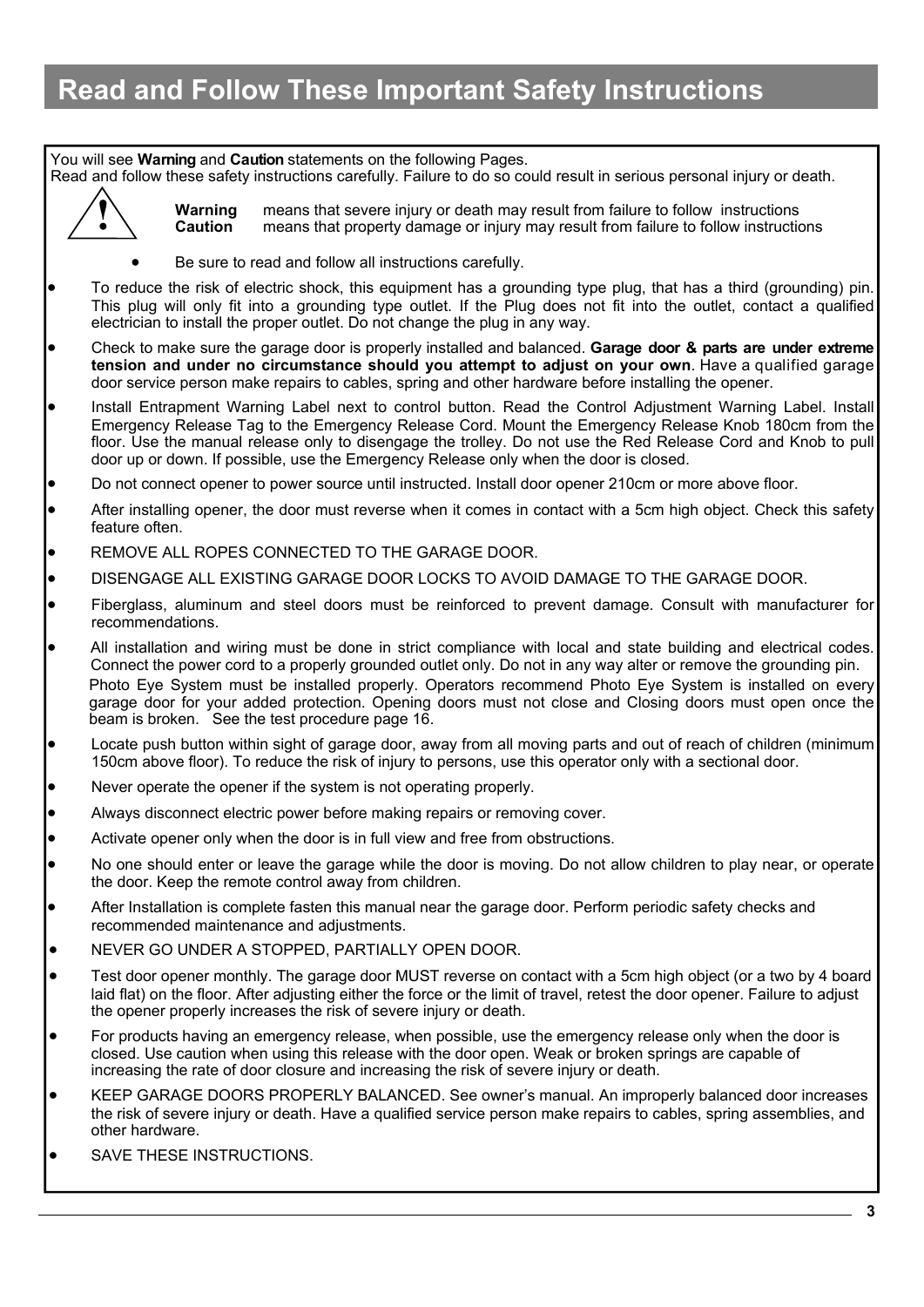## **Read and Follow These Important Safety Instructions**

### You will see **Warning** and **Caution** statements on the following Pages.

Read and follow these safety instructions carefully. Failure to do so could result in serious personal injury or death.



**Warning** means that severe injury or death may result from failure to follow instructions **Caution** means that property damage or injury may result from failure to follow instructions

- Be sure to read and follow all instructions carefully.
- To reduce the risk of electric shock, this equipment has a grounding type plug, that has a third (grounding) pin. This plug will only fit into a grounding type outlet. If the Plug does not fit into the outlet, contact a qualified electrician to install the proper outlet. Do not change the plug in any way.
- Check to make sure the garage door is properly installed and balanced. **Garage door & parts are under extreme tension and under no circumstance should you attempt to adjust on your own**. Have a qualified garage door service person make repairs to cables, spring and other hardware before installing the opener.
- Install Entrapment Warning Label next to control button. Read the Control Adjustment Warning Label. Install Emergency Release Tag to the Emergency Release Cord. Mount the Emergency Release Knob 180cm from the floor. Use the manual release only to disengage the trolley. Do not use the Red Release Cord and Knob to pull door up or down. If possible, use the Emergency Release only when the door is closed.
- Do not connect opener to power source until instructed. Install door opener 210cm or more above floor.
- After installing opener, the door must reverse when it comes in contact with a 5cm high object. Check this safety feature often
- REMOVE ALL ROPES CONNECTED TO THE GARAGE DOOR.
- DISENGAGE ALL EXISTING GARAGE DOOR LOCKS TO AVOID DAMAGE TO THE GARAGE DOOR.
- Fiberglass, aluminum and steel doors must be reinforced to prevent damage. Consult with manufacturer for recommendations.
- All installation and wiring must be done in strict compliance with local and state building and electrical codes. Connect the power cord to a properly grounded outlet only. Do not in any way alter or remove the grounding pin. Photo Eye System must be installed properly. Operators recommend Photo Eye System is installed on every garage door for your added protection. Opening doors must not close and Closing doors must open once the beam is broken. See the test procedure page 16.
- Locate push button within sight of garage door, away from all moving parts and out of reach of children (minimum 150cm above floor). To reduce the risk of injury to persons, use this operator only with a sectional door.
- Never operate the opener if the system is not operating properly.
- Always disconnect electric power before making repairs or removing cover.
- Activate opener only when the door is in full view and free from obstructions.
- No one should enter or leave the garage while the door is moving. Do not allow children to play near, or operate the door. Keep the remote control away from children.
- After Installation is complete fasten this manual near the garage door. Perform periodic safety checks and recommended maintenance and adjustments.
- NEVER GO UNDER A STOPPED, PARTIALLY OPEN DOOR.
- Test door opener monthly. The garage door MUST reverse on contact with a 5cm high object (or a two by 4 board laid flat) on the floor. After adjusting either the force or the limit of travel, retest the door opener. Failure to adjust the opener properly increases the risk of severe injury or death.
- For products having an emergency release, when possible, use the emergency release only when the door is closed. Use caution when using this release with the door open. Weak or broken springs are capable of increasing the rate of door closure and increasing the risk of severe injury or death.
- KEEP GARAGE DOORS PROPERLY BALANCED. See owner's manual. An improperly balanced door increases the risk of severe injury or death. Have a qualified service person make repairs to cables, spring assemblies, and other hardware.
- SAVE THESE INSTRUCTIONS.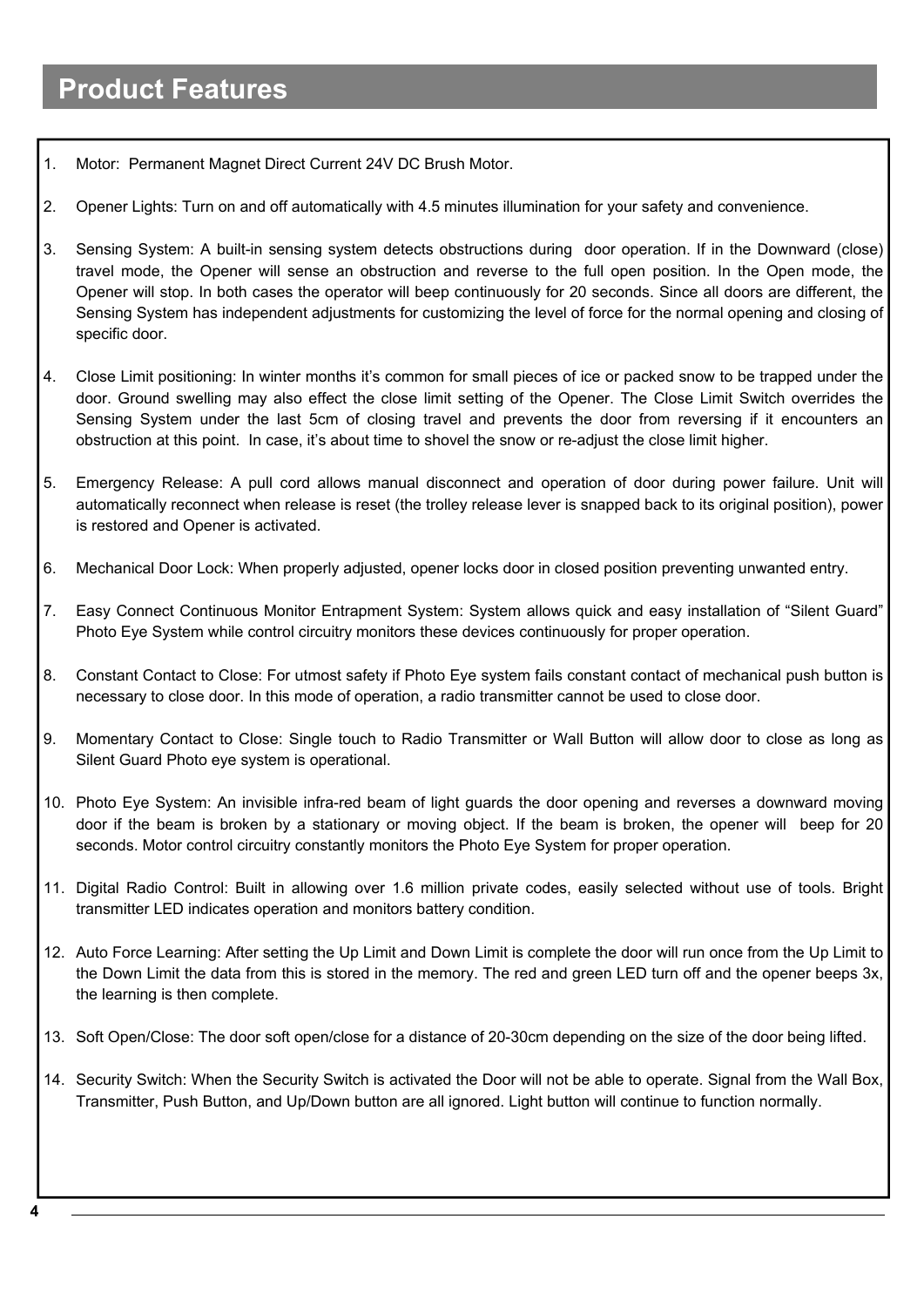### **Product Features**

- 1. Motor: Permanent Magnet Direct Current 24V DC Brush Motor.
- 2. Opener Lights: Turn on and off automatically with 4.5 minutes illumination for your safety and convenience.
- 3. Sensing System: A built-in sensing system detects obstructions during door operation. If in the Downward (close) travel mode, the Opener will sense an obstruction and reverse to the full open position. In the Open mode, the Opener will stop. In both cases the operator will beep continuously for 20 seconds. Since all doors are different, the Sensing System has independent adjustments for customizing the level of force for the normal opening and closing of specific door.
- 4. Close Limit positioning: In winter months it's common for small pieces of ice or packed snow to be trapped under the door. Ground swelling may also effect the close limit setting of the Opener. The Close Limit Switch overrides the Sensing System under the last 5cm of closing travel and prevents the door from reversing if it encounters an obstruction at this point. In case, it's about time to shovel the snow or re-adjust the close limit higher.
- 5. Emergency Release: A pull cord allows manual disconnect and operation of door during power failure. Unit will automatically reconnect when release is reset (the trolley release lever is snapped back to its original position), power is restored and Opener is activated.
- 6. Mechanical Door Lock: When properly adjusted, opener locks door in closed position preventing unwanted entry.
- 7. Easy Connect Continuous Monitor Entrapment System: System allows quick and easy installation of "Silent Guard" Photo Eye System while control circuitry monitors these devices continuously for proper operation.
- 8. Constant Contact to Close: For utmost safety if Photo Eye system fails constant contact of mechanical push button is necessary to close door. In this mode of operation, a radio transmitter cannot be used to close door.
- 9. Momentary Contact to Close: Single touch to Radio Transmitter or Wall Button will allow door to close as long as Silent Guard Photo eye system is operational.
- 10. Photo Eye System: An invisible infra-red beam of light guards the door opening and reverses a downward moving door if the beam is broken by a stationary or moving object. If the beam is broken, the opener will beep for 20 seconds. Motor control circuitry constantly monitors the Photo Eye System for proper operation.
- 11. Digital Radio Control: Built in allowing over 1.6 million private codes, easily selected without use of tools. Bright transmitter LED indicates operation and monitors battery condition.
- 12. Auto Force Learning: After setting the Up Limit and Down Limit is complete the door will run once from the Up Limit to the Down Limit the data from this is stored in the memory. The red and green LED turn off and the opener beeps 3x, the learning is then complete.
- 13. Soft Open/Close: The door soft open/close for a distance of 20-30cm depending on the size of the door being lifted.
- 14. Security Switch: When the Security Switch is activated the Door will not be able to operate. Signal from the Wall Box, Transmitter, Push Button, and Up/Down button are all ignored. Light button will continue to function normally.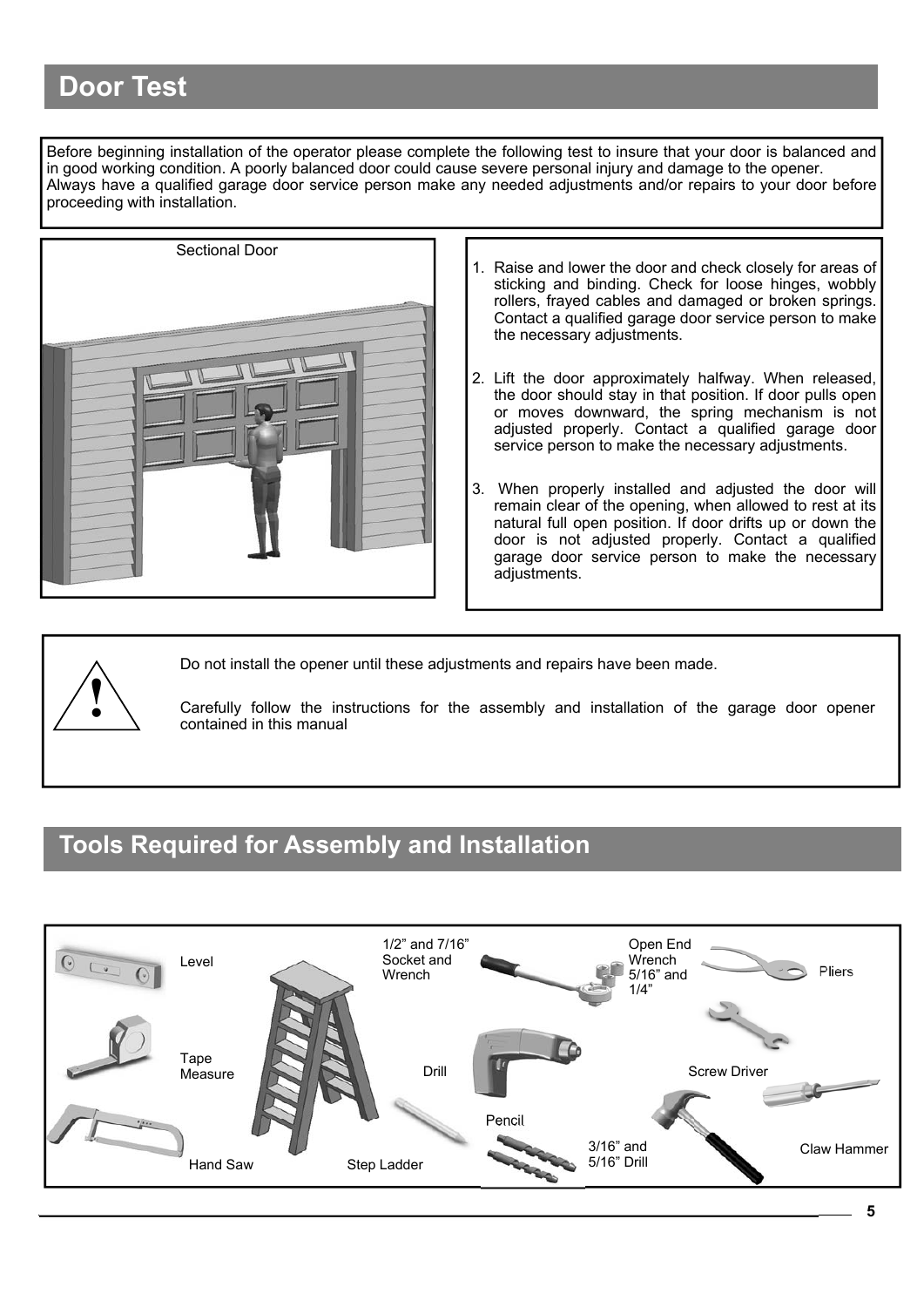## **Door Test**

Before beginning installation of the operator please complete the following test to insure that your door is balanced and in good working condition. A poorly balanced door could cause severe personal injury and damage to the opener. Always have a qualified garage door service person make any needed adjustments and/or repairs to your door before proceeding with installation.



- 1. Raise and lower the door and check closely for areas of sticking and binding. Check for loose hinges, wobbly rollers, frayed cables and damaged or broken springs. Contact a qualified garage door service person to make the necessary adjustments.
- 2. Lift the door approximately halfway. When released, the door should stay in that position. If door pulls open or moves downward, the spring mechanism is not adjusted properly. Contact a qualified garage door service person to make the necessary adjustments.
- 3. When properly installed and adjusted the door will remain clear of the opening, when allowed to rest at its natural full open position. If door drifts up or down the door is not adjusted properly. Contact a qualified garage door service person to make the necessary adjustments.



Do not install the opener until these adjustments and repairs have been made.

**!** Carefully follow the instructions for the assembly and installation of the garage door opener contained in this manual

### **Tools Required for Assembly and Installation**

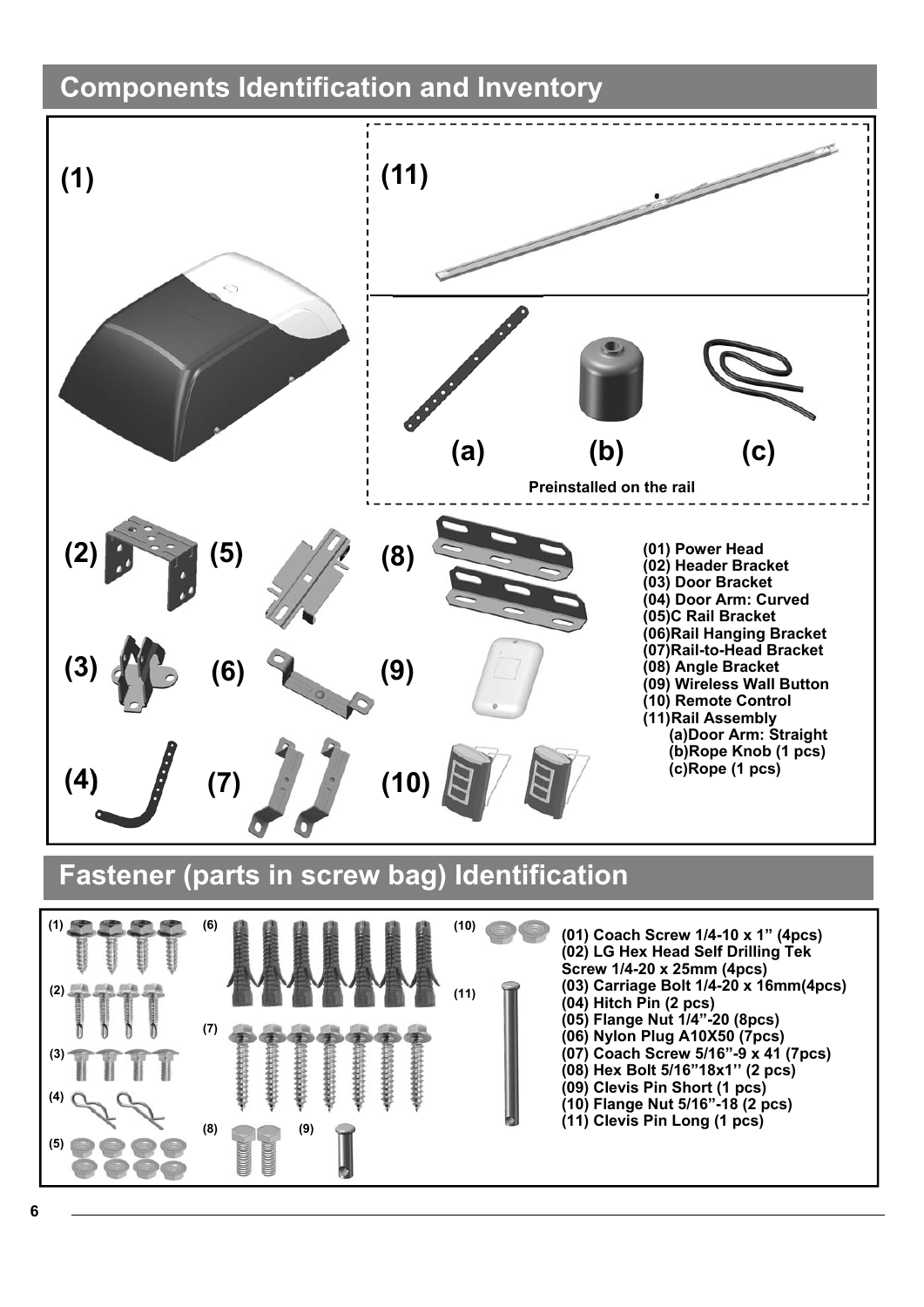# **Components Identification and Inventory**





- **(05) Flange Nut 1/4"-20 (8pcs)**
- **(06) Nylon Plug A10X50 (7pcs)**
- **(07) Coach Screw 5/16"-9 x 41 (7pcs) (08) Hex Bolt 5/16"18x1'' (2 pcs)**
- **(09) Clevis Pin Short (1 pcs)**
- **(10) Flange Nut 5/16"-18 (2 pcs)**
- **(11) Clevis Pin Long (1 pcs)**

**(4)** 

**(5)** 

**(3)** 

**(7)** 

**(8)** 

**(9)**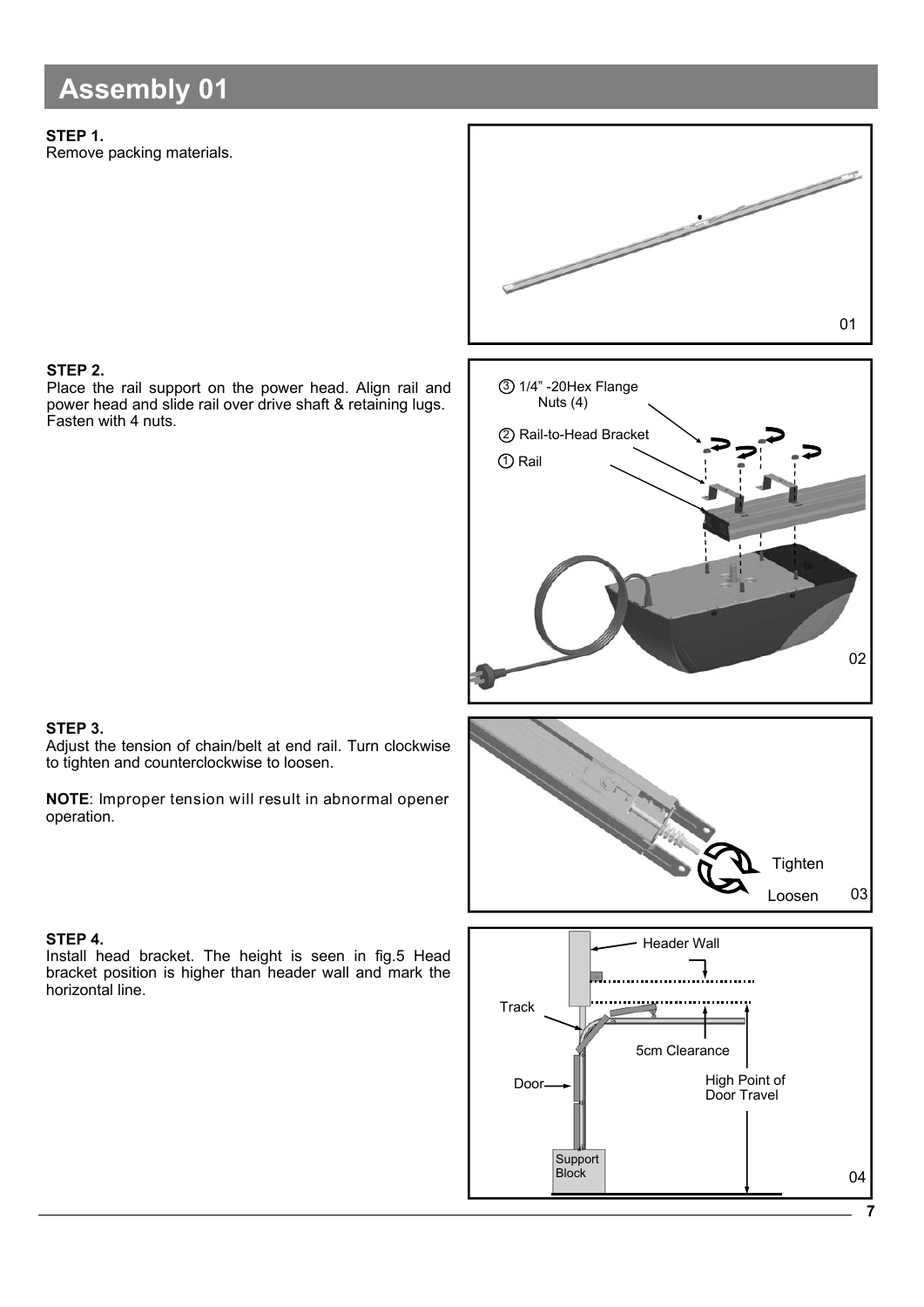## **Assembly 01**

### **STEP 1.**

Remove packing materials.



### **STEP 2.**

Place the rail support on the power head. Align rail and power head and slide rail over drive shaft & retaining lugs. Fasten with 4 nuts.

### **STEP 3.**

Adjust the tension of chain/belt at end rail. Turn clockwise to tighten and counterclockwise to loosen.

**NOTE**: Improper tension will result in abnormal opener operation.

### **STEP 4.**

Install head bracket. The height is seen in fig.5 Head bracket position is higher than header wall and mark the horizontal line.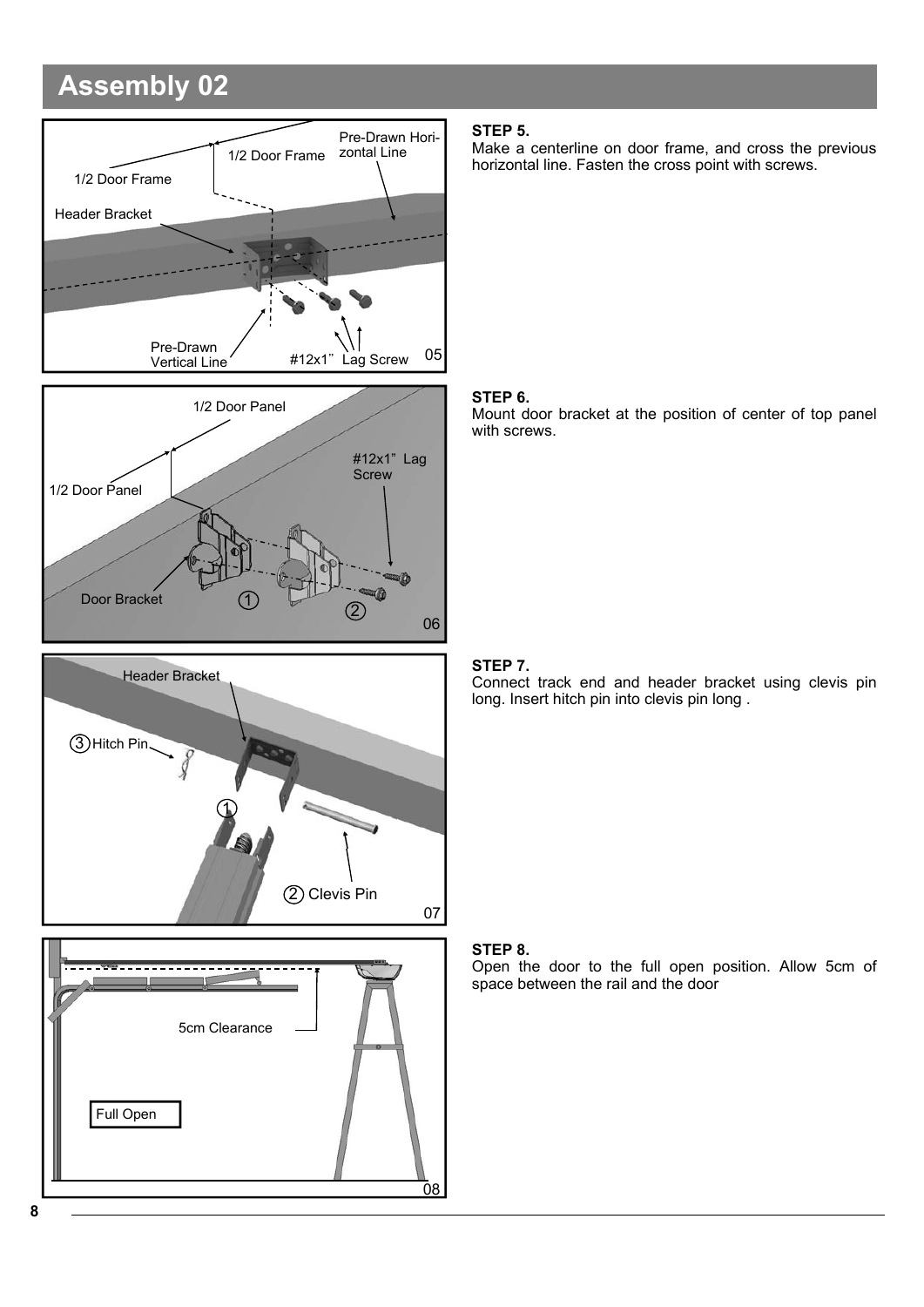# **Assembly 02**





#### **STEP 5.**

Make a centerline on door frame, and cross the previous horizontal line. Fasten the cross point with screws.

#### **STEP 6.**

Mount door bracket at the position of center of top panel with screws.

### **STEP 7.**

Connect track end and header bracket using clevis pin long. Insert hitch pin into clevis pin long .





#### **STEP 8.**

Open the door to the full open position. Allow 5cm of space between the rail and the door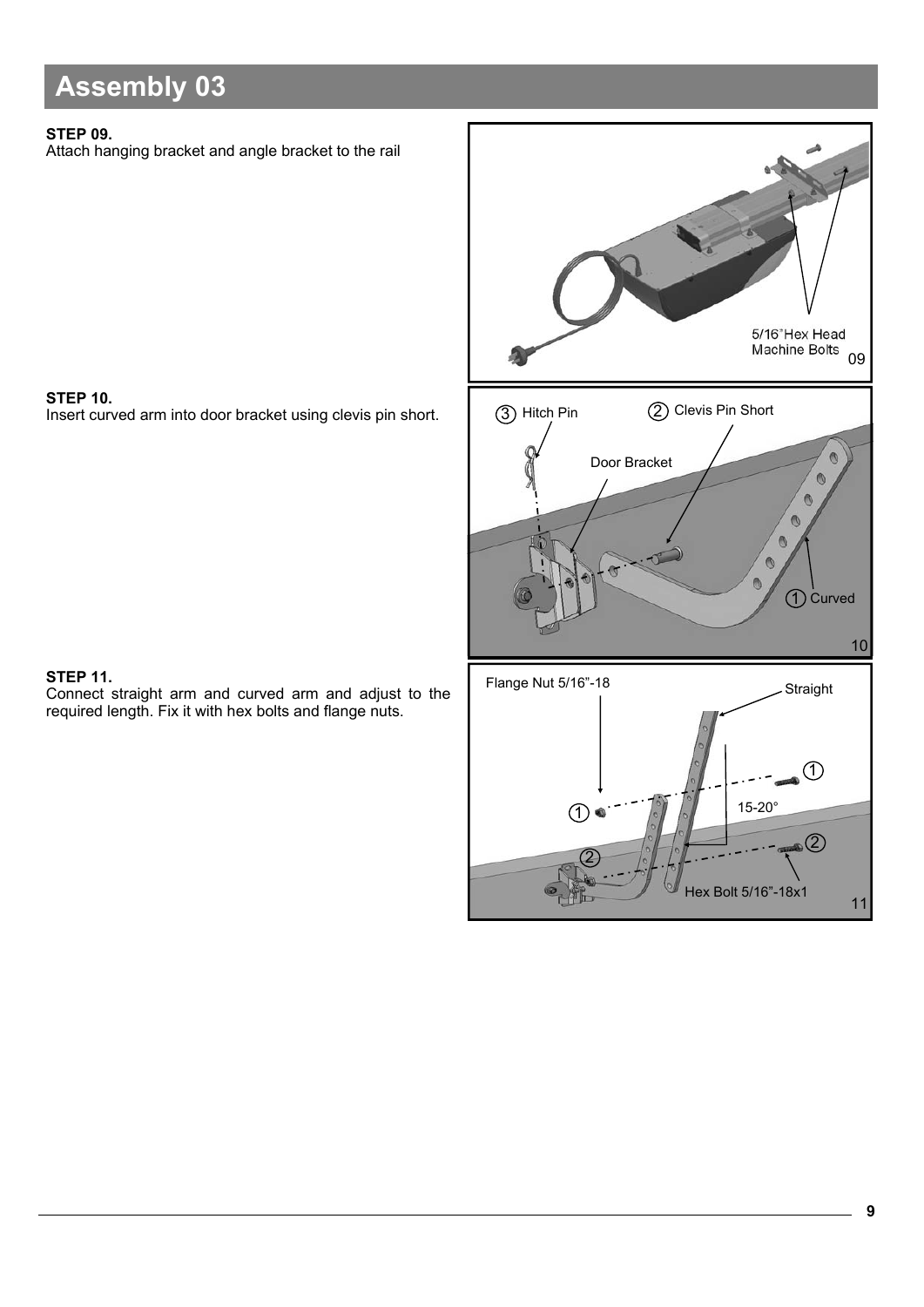# **Assembly 03**

### **STEP 09.**

Attach hanging bracket and angle bracket to the rail

**STEP 10.**  Insert curved arm into door bracket using clevis pin short.



### **STEP 11.**

Connect straight arm and curved arm and adjust to the required length. Fix it with hex bolts and flange nuts.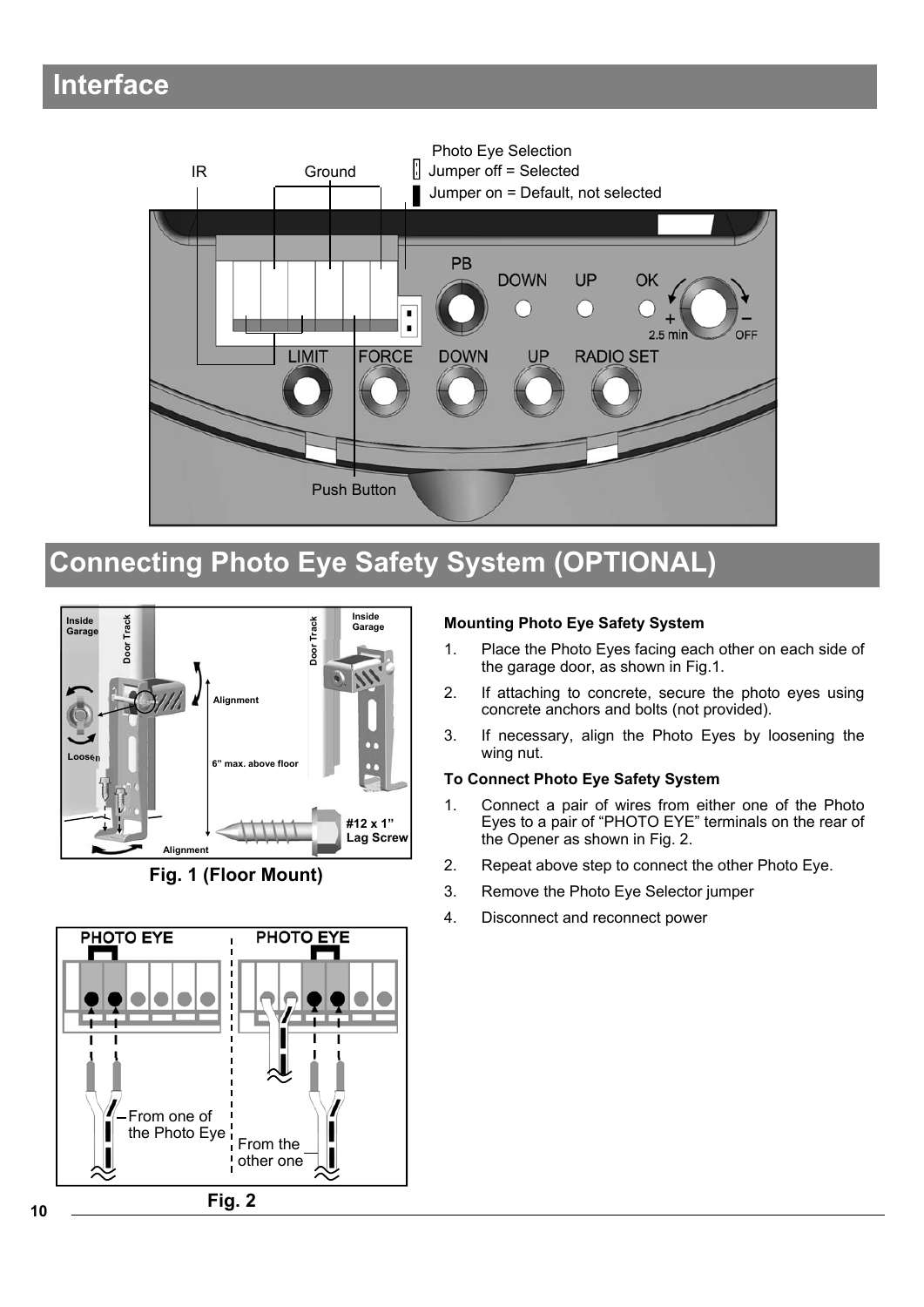### **Interface**



# **Connecting Photo Eye Safety System (OPTIONAL)**



**Fig. 1 (Floor Mount)**

# **PHOTO EYE PHOTO EYE** From one of the Photo Eye  $\frac{1}{1}$  From the other one **Fig. 2**

### **Mounting Photo Eye Safety System**

- 1. Place the Photo Eyes facing each other on each side of the garage door, as shown in Fig.1.
- 2. If attaching to concrete, secure the photo eyes using concrete anchors and bolts (not provided).
- 3. If necessary, align the Photo Eyes by loosening the wing nut.

### **To Connect Photo Eye Safety System**

- 1. Connect a pair of wires from either one of the Photo Eyes to a pair of "PHOTO EYE" terminals on the rear of the Opener as shown in Fig. 2.
- 2. Repeat above step to connect the other Photo Eye.
- 3. Remove the Photo Eye Selector jumper
- 4. Disconnect and reconnect power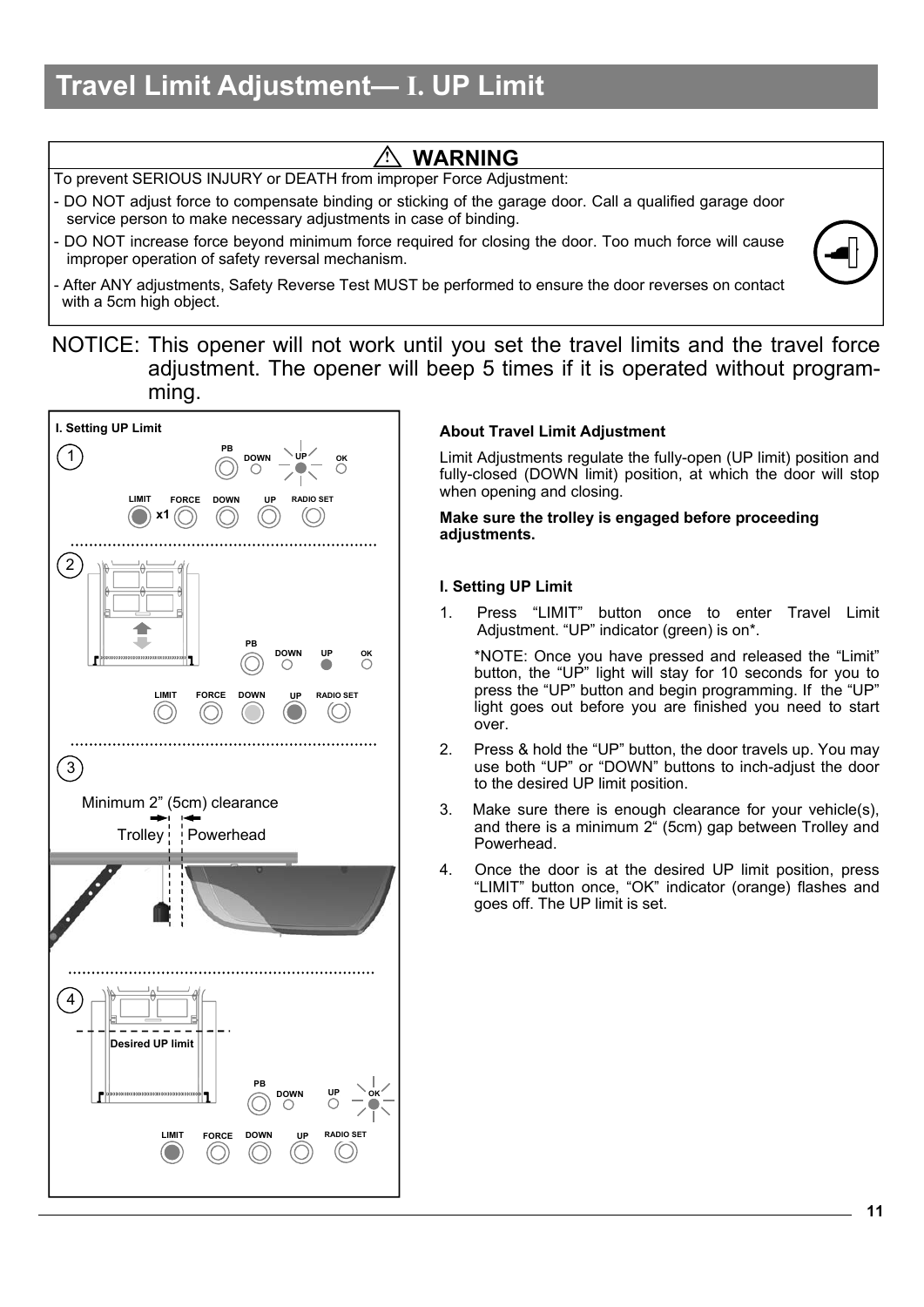# **Travel Limit Adjustment— I. UP Limit**

### **! WARNING**

To prevent SERIOUS INJURY or DEATH from improper Force Adjustment:

- DO NOT adjust force to compensate binding or sticking of the garage door. Call a qualified garage door service person to make necessary adjustments in case of binding.
- DO NOT increase force beyond minimum force required for closing the door. Too much force will cause improper operation of safety reversal mechanism.
- After ANY adjustments, Safety Reverse Test MUST be performed to ensure the door reverses on contact with a 5cm high object.
- NOTICE: This opener will not work until you set the travel limits and the travel force adjustment. The opener will beep 5 times if it is operated without programming.



### **About Travel Limit Adjustment**

Limit Adjustments regulate the fully-open (UP limit) position and fully-closed (DOWN limit) position, at which the door will stop when opening and closing.

**Make sure the trolley is engaged before proceeding adjustments.** 

### **I. Setting UP Limit**

Press "LIMIT" button once to enter Travel Limit Adjustment. "UP" indicator (green) is on\*.

 \*NOTE: Once you have pressed and released the "Limit" button, the "UP" light will stay for 10 seconds for you to press the "UP" button and begin programming. If the "UP" light goes out before you are finished you need to start over.

- 2. Press & hold the "UP" button, the door travels up. You may use both "UP" or "DOWN" buttons to inch-adjust the door to the desired UP limit position.
- 3. Make sure there is enough clearance for your vehicle(s), and there is a minimum 2" (5cm) gap between Trolley and Powerhead.
- 4. Once the door is at the desired UP limit position, press "LIMIT" button once, "OK" indicator (orange) flashes and goes off. The UP limit is set.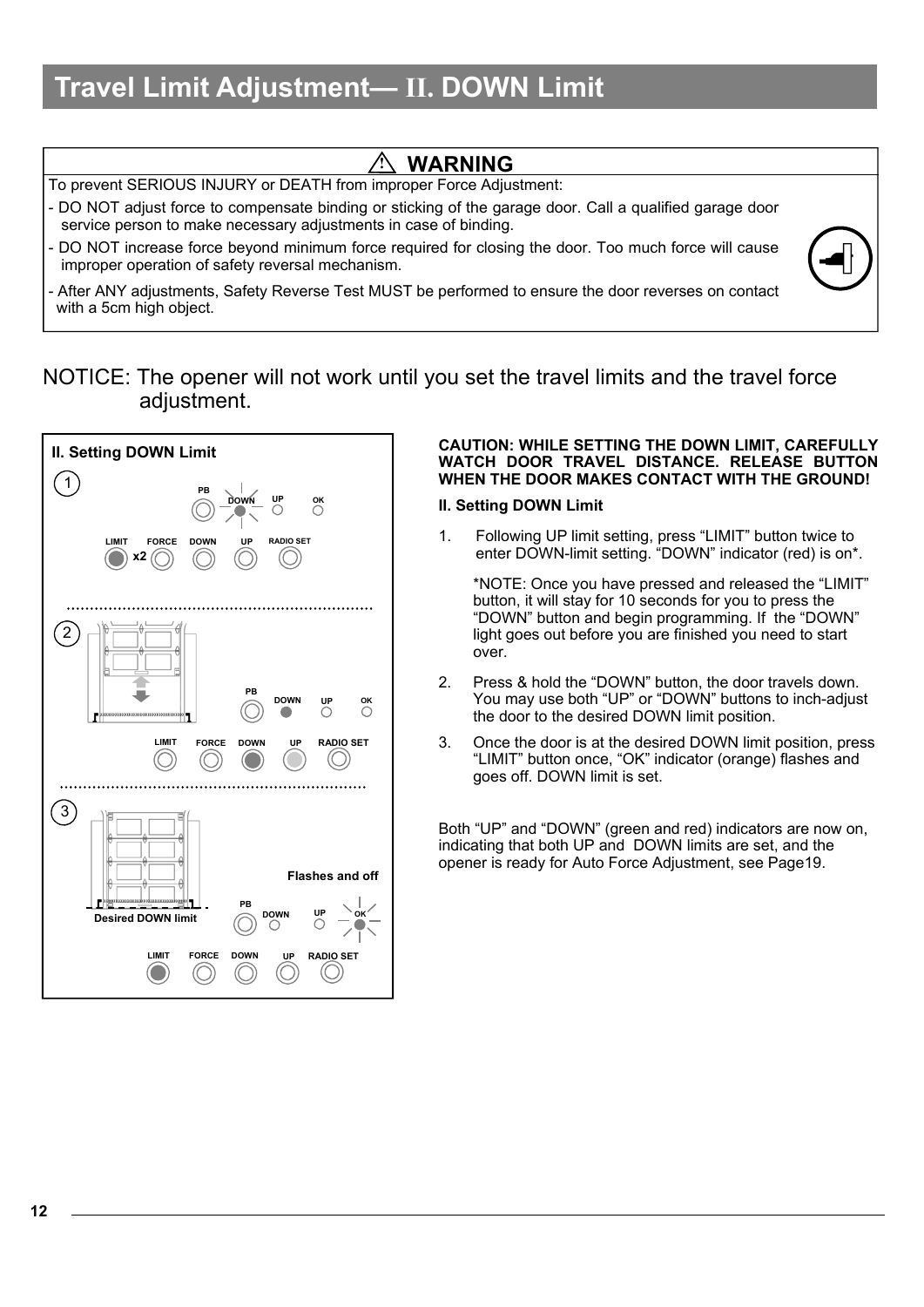# **Travel Limit Adjustment— II. DOWN Limit**

| <b>WARNING</b>                                                                                                                                                               |  |
|------------------------------------------------------------------------------------------------------------------------------------------------------------------------------|--|
| To prevent SERIOUS INJURY or DEATH from improper Force Adjustment:                                                                                                           |  |
| - DO NOT adjust force to compensate binding or sticking of the garage door. Call a qualified garage door<br>service person to make necessary adjustments in case of binding. |  |
| - DO NOT increase force beyond minimum force required for closing the door. Too much force will cause<br>improper operation of safety reversal mechanism.                    |  |
| - After ANY adjustments, Safety Reverse Test MUST be performed to ensure the door reverses on contact<br>with a 5cm high object.                                             |  |

### NOTICE: The opener will not work until you set the travel limits and the travel force adjustment.



#### **CAUTION: WHILE SETTING THE DOWN LIMIT, CAREFULLY WATCH DOOR TRAVEL DISTANCE. RELEASE BUTTON WHEN THE DOOR MAKES CONTACT WITH THE GROUND!**

### **II. Setting DOWN Limit**

1. Following UP limit setting, press "LIMIT" button twice to enter DOWN-limit setting. "DOWN" indicator (red) is on\*.

 \*NOTE: Once you have pressed and released the "LIMIT" button, it will stay for 10 seconds for you to press the "DOWN" button and begin programming. If the "DOWN" light goes out before you are finished you need to start over.

- 2. Press & hold the "DOWN" button, the door travels down. You may use both "UP" or "DOWN" buttons to inch-adjust the door to the desired DOWN limit position.
- 3. Once the door is at the desired DOWN limit position, press "LIMIT" button once, "OK" indicator (orange) flashes and goes off. DOWN limit is set.

Both "UP" and "DOWN" (green and red) indicators are now on, indicating that both UP and DOWN limits are set, and the opener is ready for Auto Force Adjustment, see Page19.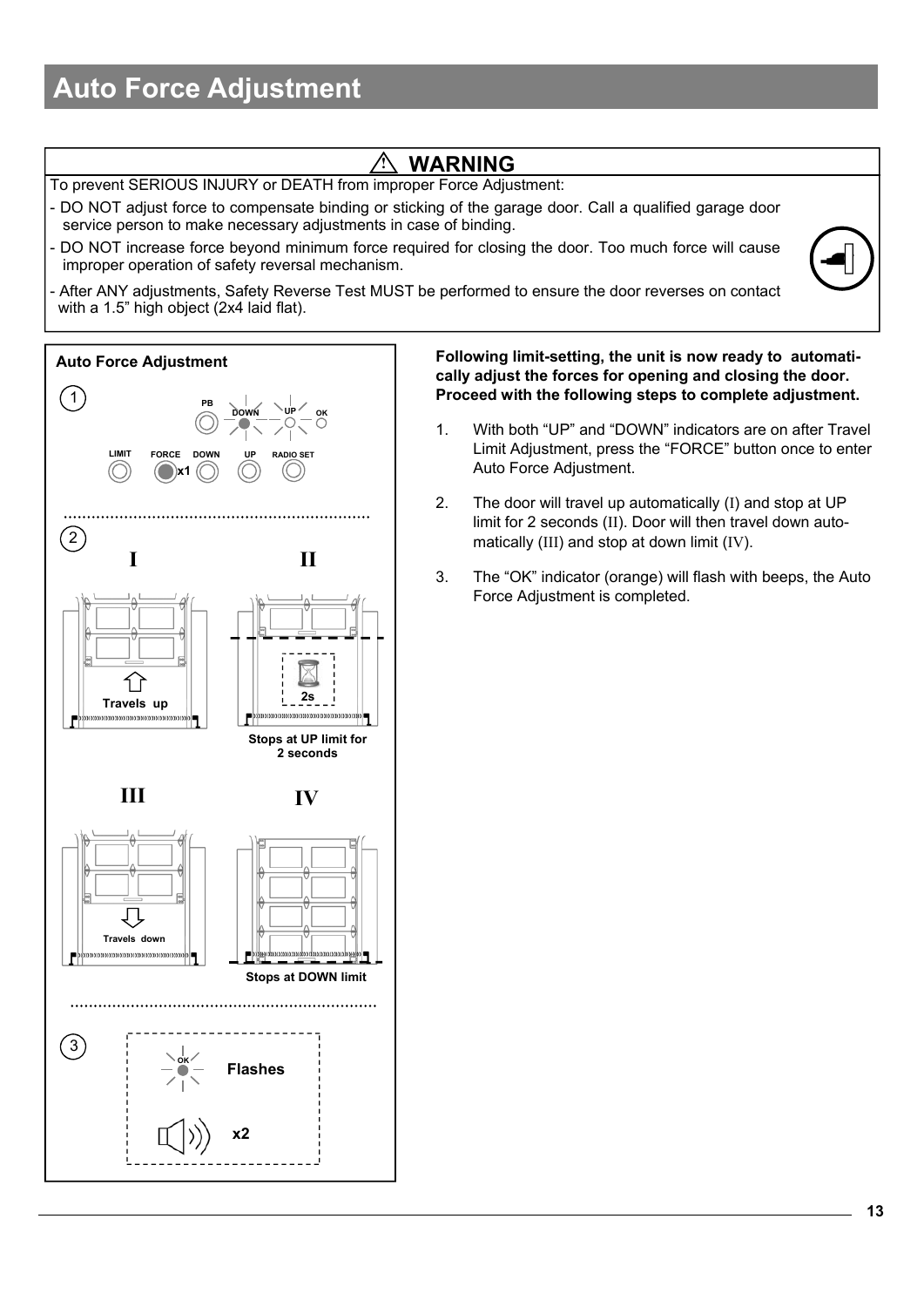# **Auto Force Adjustment**

### **! WARNING**

To prevent SERIOUS INJURY or DEATH from improper Force Adjustment:

- DO NOT adjust force to compensate binding or sticking of the garage door. Call a qualified garage door service person to make necessary adjustments in case of binding.
- DO NOT increase force beyond minimum force required for closing the door. Too much force will cause improper operation of safety reversal mechanism.
- After ANY adjustments, Safety Reverse Test MUST be performed to ensure the door reverses on contact with a 1.5" high object (2x4 laid flat).



**Following limit-setting, the unit is now ready to automatically adjust the forces for opening and closing the door. Proceed with the following steps to complete adjustment.**

- 1. With both "UP" and "DOWN" indicators are on after Travel Limit Adjustment, press the "FORCE" button once to enter Auto Force Adjustment.
- 2. The door will travel up automatically (I) and stop at UP limit for 2 seconds (II). Door will then travel down automatically (III) and stop at down limit (IV).
- 3. The "OK" indicator (orange) will flash with beeps, the Auto Force Adjustment is completed.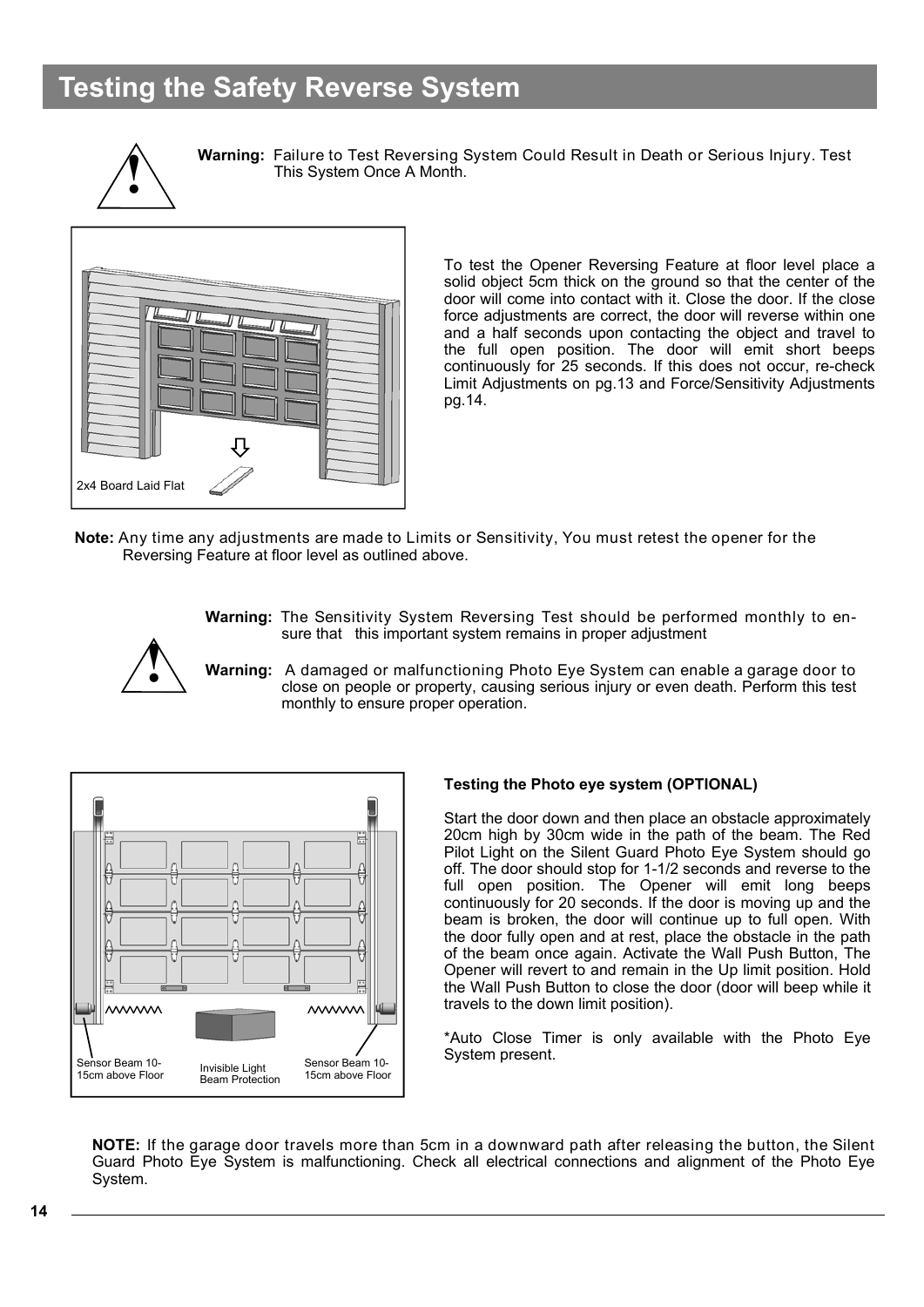### **Testing the Safety Reverse System**



**Warning:** Failure to Test Reversing System Could Result in Death or Serious Injury. Test This System Once A Month.



To test the Opener Reversing Feature at floor level place a solid object 5cm thick on the ground so that the center of the door will come into contact with it. Close the door. If the close force adjustments are correct, the door will reverse within one and a half seconds upon contacting the object and travel to the full open position. The door will emit short beeps continuously for 25 seconds. If this does not occur, re-check Limit Adjustments on pg.13 and Force/Sensitivity Adjustments pg.14.

**Note:** Any time any adjustments are made to Limits or Sensitivity, You must retest the opener for the Reversing Feature at floor level as outlined above.

> **Warning:** The Sensitivity System Reversing Test should be performed monthly to ensure that this important system remains in proper adjustment



**Warning:** A damaged or malfunctioning Photo Eye System can enable a garage door to close on people or property, causing serious injury or even death. Perform this test monthly to ensure proper operation.



### **Testing the Photo eye system (OPTIONAL)**

Start the door down and then place an obstacle approximately 20cm high by 30cm wide in the path of the beam. The Red Pilot Light on the Silent Guard Photo Eye System should go off. The door should stop for 1-1/2 seconds and reverse to the full open position. The Opener will emit long beeps continuously for 20 seconds. If the door is moving up and the beam is broken, the door will continue up to full open. With the door fully open and at rest, place the obstacle in the path of the beam once again. Activate the Wall Push Button, The Opener will revert to and remain in the Up limit position. Hold the Wall Push Button to close the door (door will beep while it travels to the down limit position).

\*Auto Close Timer is only available with the Photo Eye System present.

**NOTE:** If the garage door travels more than 5cm in a downward path after releasing the button, the Silent Guard Photo Eye System is malfunctioning. Check all electrical connections and alignment of the Photo Eye System.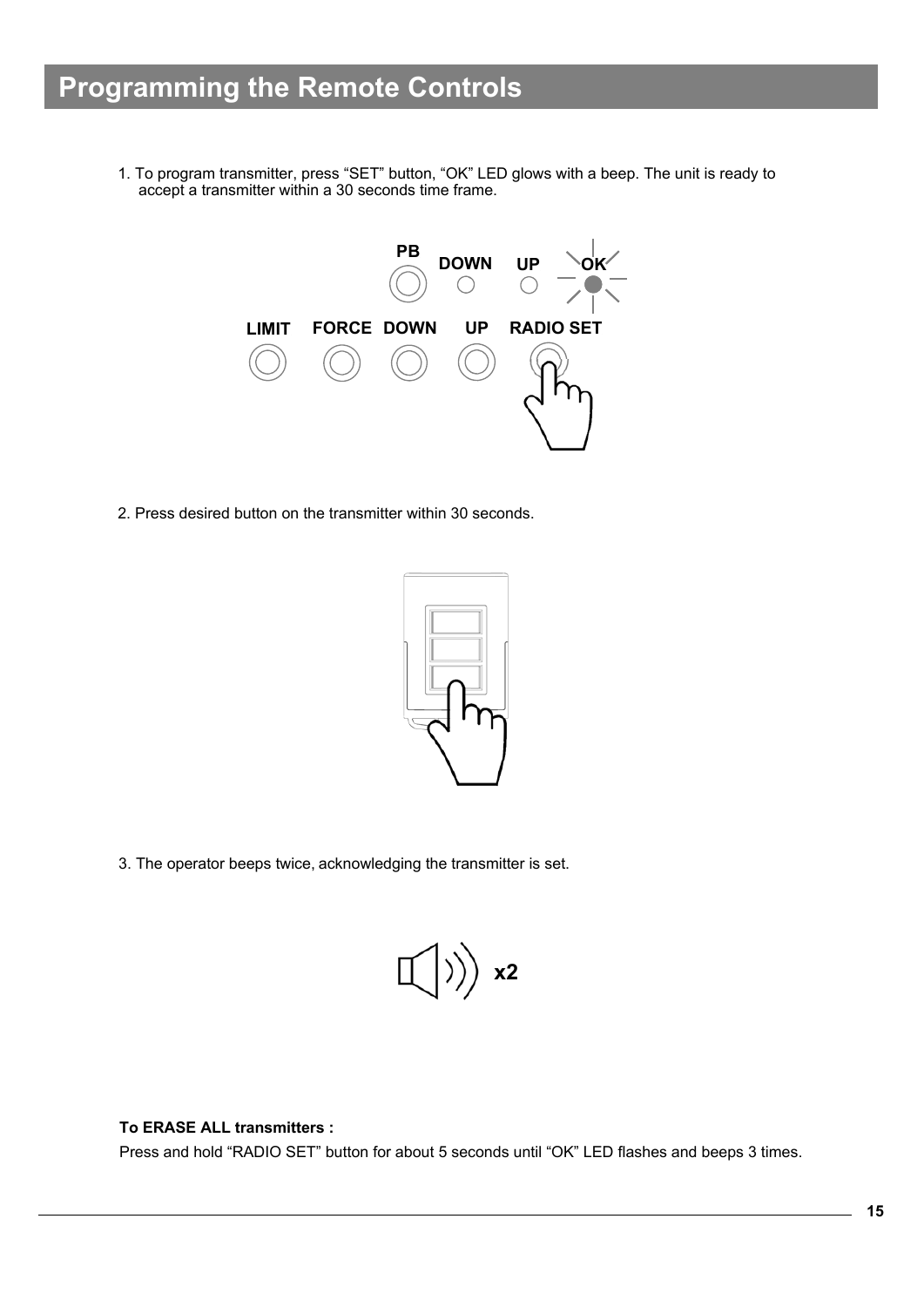1. To program transmitter, press "SET" button, "OK" LED glows with a beep. The unit is ready to accept a transmitter within a 30 seconds time frame.



2. Press desired button on the transmitter within 30 seconds.



3. The operator beeps twice, acknowledging the transmitter is set.



### **To ERASE ALL transmitters :**

Press and hold "RADIO SET" button for about 5 seconds until "OK" LED flashes and beeps 3 times.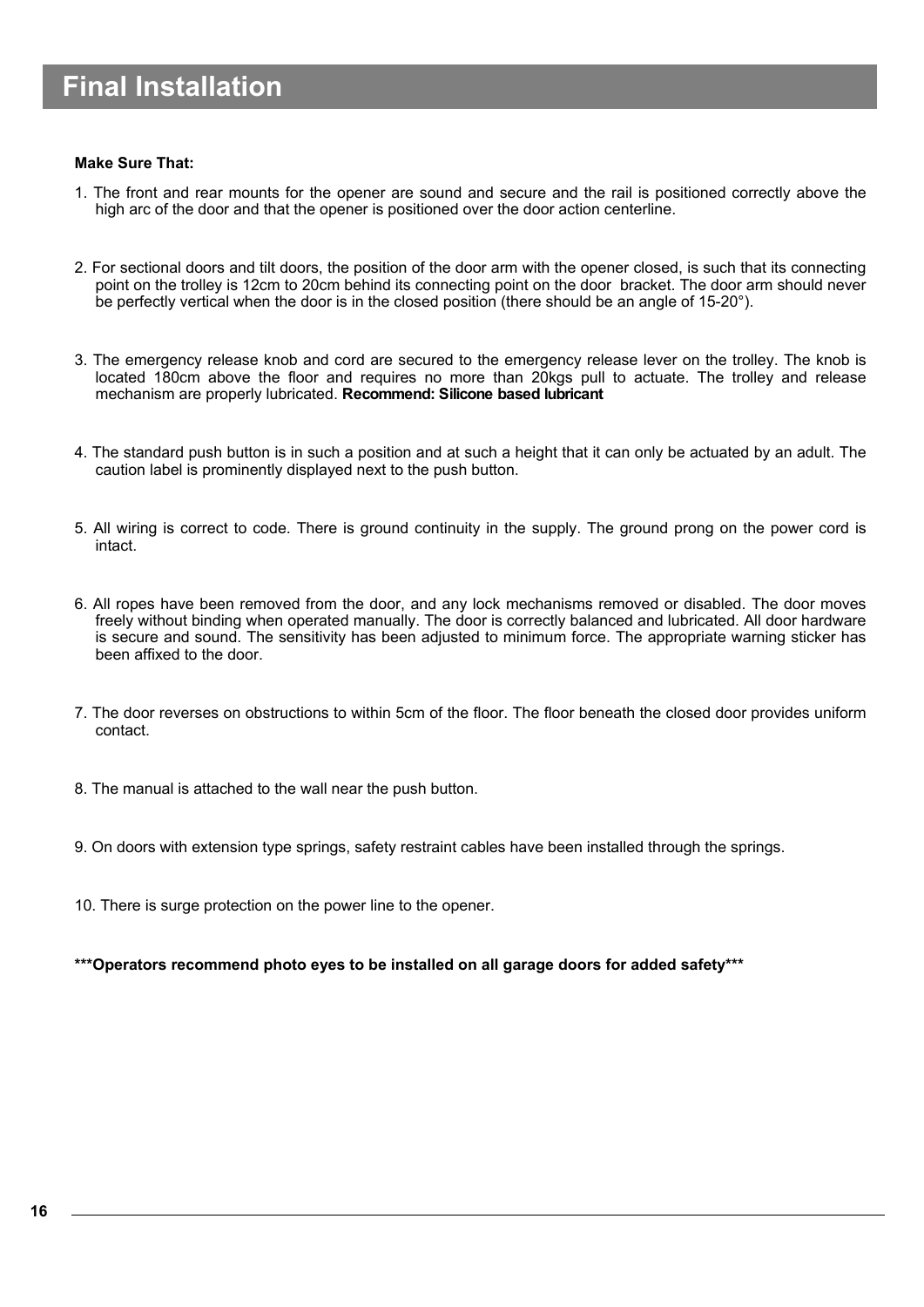# **Final Installation**

### **Make Sure That:**

- 1. The front and rear mounts for the opener are sound and secure and the rail is positioned correctly above the high arc of the door and that the opener is positioned over the door action centerline.
- 2. For sectional doors and tilt doors, the position of the door arm with the opener closed, is such that its connecting point on the trolley is 12cm to 20cm behind its connecting point on the door bracket. The door arm should never be perfectly vertical when the door is in the closed position (there should be an angle of 15-20°).
- 3. The emergency release knob and cord are secured to the emergency release lever on the trolley. The knob is located 180cm above the floor and requires no more than 20kgs pull to actuate. The trolley and release mechanism are properly lubricated. **Recommend: Silicone based lubricant**
- 4. The standard push button is in such a position and at such a height that it can only be actuated by an adult. The caution label is prominently displayed next to the push button.
- 5. All wiring is correct to code. There is ground continuity in the supply. The ground prong on the power cord is intact.
- 6. All ropes have been removed from the door, and any lock mechanisms removed or disabled. The door moves freely without binding when operated manually. The door is correctly balanced and lubricated. All door hardware is secure and sound. The sensitivity has been adjusted to minimum force. The appropriate warning sticker has been affixed to the door.
- 7. The door reverses on obstructions to within 5cm of the floor. The floor beneath the closed door provides uniform contact.
- 8. The manual is attached to the wall near the push button.
- 9. On doors with extension type springs, safety restraint cables have been installed through the springs.
- 10. There is surge protection on the power line to the opener.

**\*\*\*Operators recommend photo eyes to be installed on all garage doors for added safety\*\*\***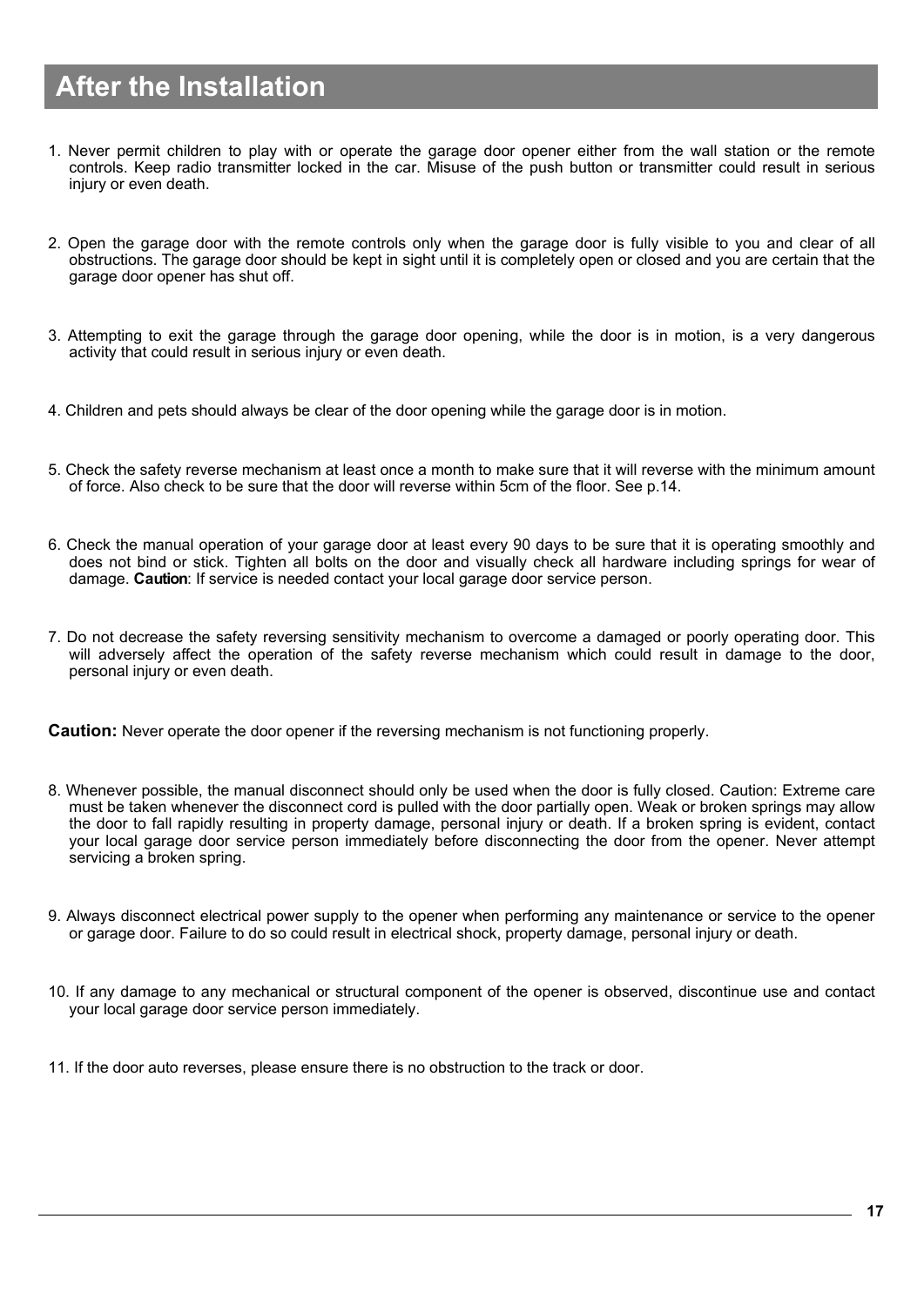# **After the Installation**

- 1. Never permit children to play with or operate the garage door opener either from the wall station or the remote controls. Keep radio transmitter locked in the car. Misuse of the push button or transmitter could result in serious injury or even death.
- 2. Open the garage door with the remote controls only when the garage door is fully visible to you and clear of all obstructions. The garage door should be kept in sight until it is completely open or closed and you are certain that the garage door opener has shut off.
- 3. Attempting to exit the garage through the garage door opening, while the door is in motion, is a very dangerous activity that could result in serious injury or even death.
- 4. Children and pets should always be clear of the door opening while the garage door is in motion.
- 5. Check the safety reverse mechanism at least once a month to make sure that it will reverse with the minimum amount of force. Also check to be sure that the door will reverse within 5cm of the floor. See p.14.
- 6. Check the manual operation of your garage door at least every 90 days to be sure that it is operating smoothly and does not bind or stick. Tighten all bolts on the door and visually check all hardware including springs for wear of damage. **Caution**: If service is needed contact your local garage door service person.
- 7. Do not decrease the safety reversing sensitivity mechanism to overcome a damaged or poorly operating door. This will adversely affect the operation of the safety reverse mechanism which could result in damage to the door, personal injury or even death.

**Caution:** Never operate the door opener if the reversing mechanism is not functioning properly.

- 8. Whenever possible, the manual disconnect should only be used when the door is fully closed. Caution: Extreme care must be taken whenever the disconnect cord is pulled with the door partially open. Weak or broken springs may allow the door to fall rapidly resulting in property damage, personal injury or death. If a broken spring is evident, contact your local garage door service person immediately before disconnecting the door from the opener. Never attempt servicing a broken spring.
- 9. Always disconnect electrical power supply to the opener when performing any maintenance or service to the opener or garage door. Failure to do so could result in electrical shock, property damage, personal injury or death.
- 10. If any damage to any mechanical or structural component of the opener is observed, discontinue use and contact your local garage door service person immediately.
- 11. If the door auto reverses, please ensure there is no obstruction to the track or door.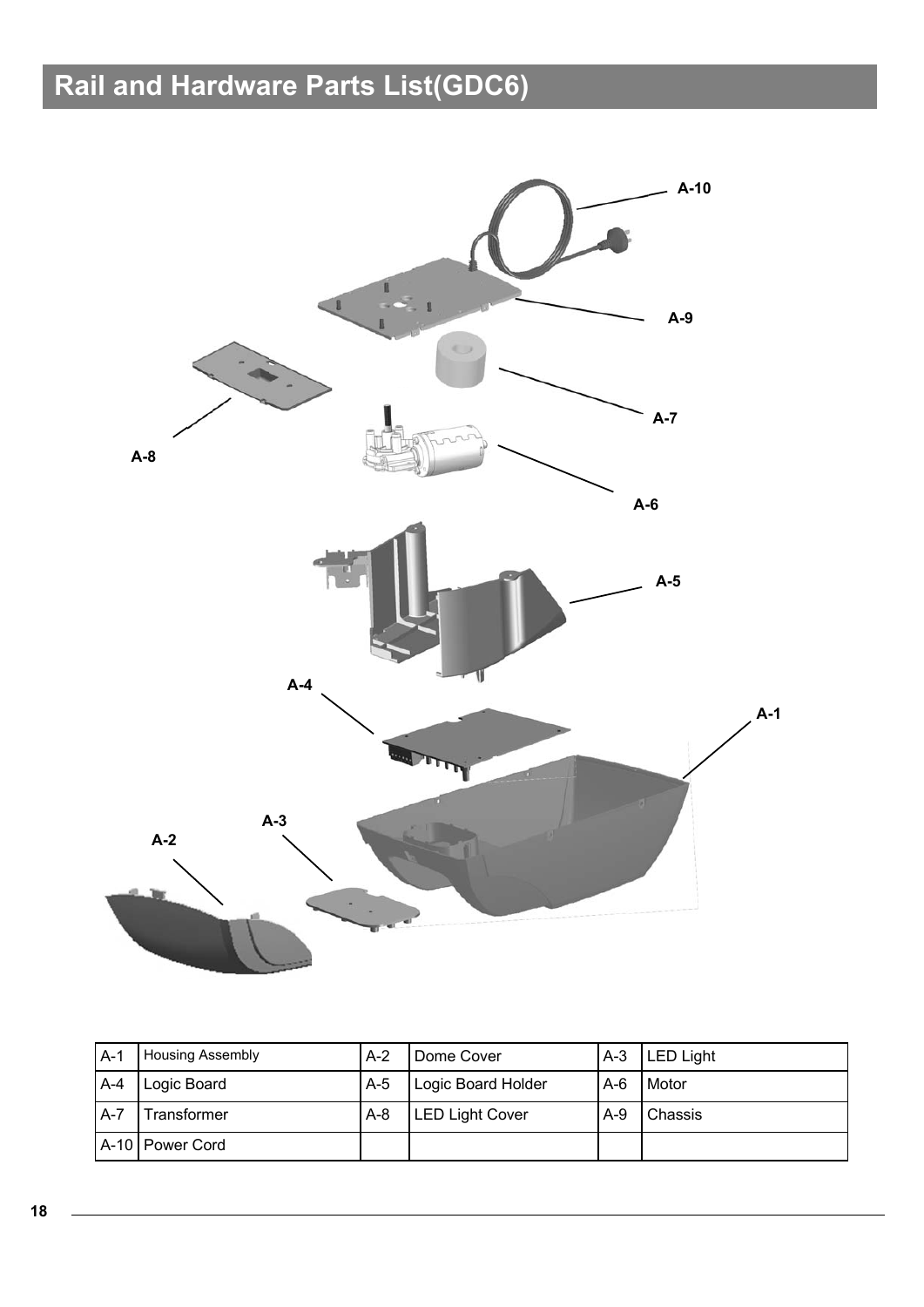# **Rail and Hardware Parts List(GDC6)**



| $A-1$   | <b>Housing Assembly</b> | $A-2$ | Dome Cover             | $A-3$ | <b>LED Light</b> |
|---------|-------------------------|-------|------------------------|-------|------------------|
| $A-4$   | Logic Board             | $A-5$ | Logic Board Holder     | $A-6$ | Motor            |
| $A - 7$ | Transformer             | $A-8$ | <b>LED Light Cover</b> | $A-9$ | l Chassis        |
|         | A-10   Power Cord       |       |                        |       |                  |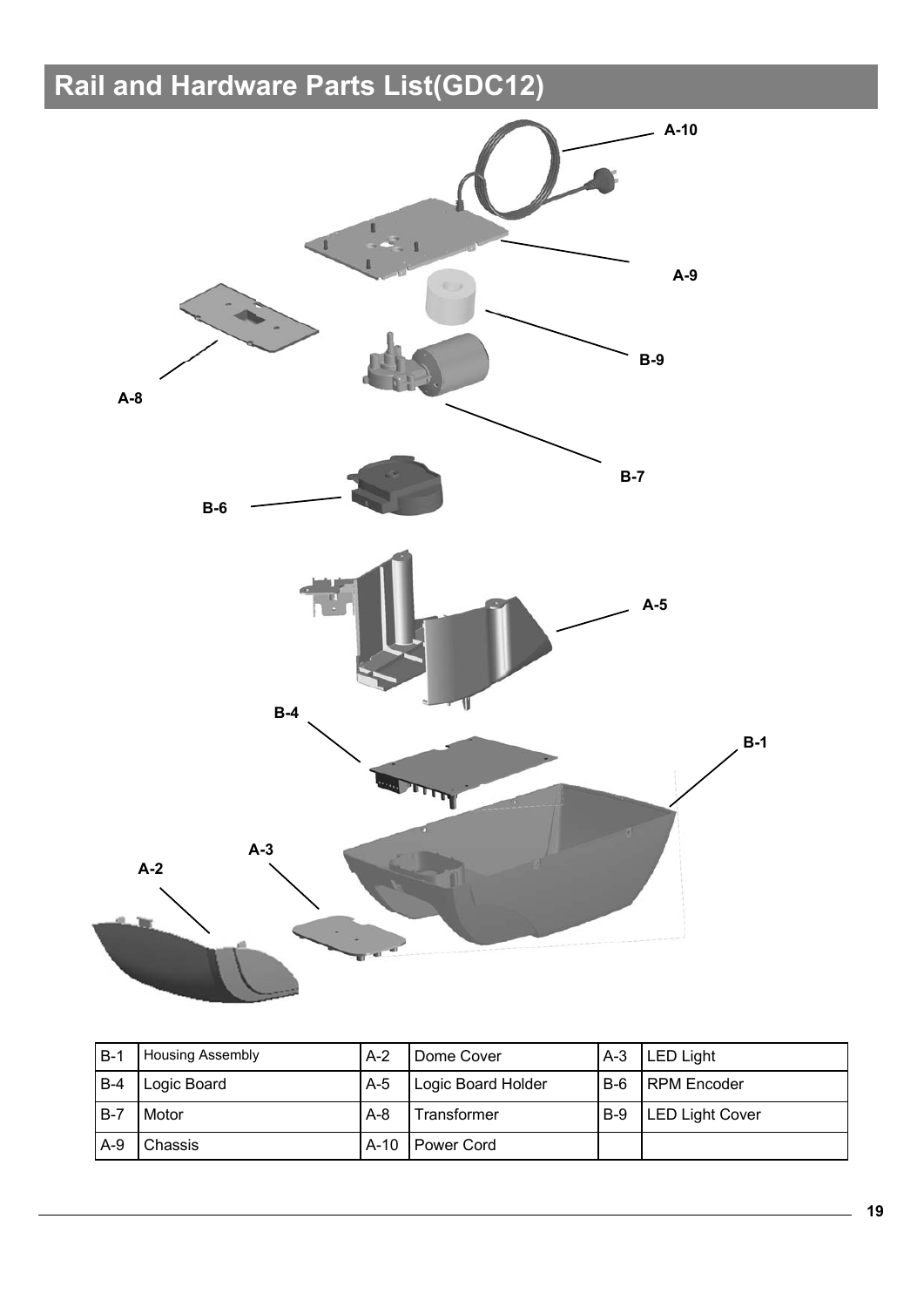# **Rail and Hardware Parts List(GDC12)**



| $B-1$  | <b>Housing Assembly</b> | $A-2$  | Dome Cover         | $A-3$ | <b>LED Light</b>       |
|--------|-------------------------|--------|--------------------|-------|------------------------|
| B-4    | Logic Board             | $A-5$  | Logic Board Holder | $B-6$ | <b>RPM</b> Encoder     |
| $IB-7$ | <b>Motor</b>            | $A-8$  | Transformer        | $B-9$ | <b>LED Light Cover</b> |
| $A-9$  | Chassis                 | $A-10$ | Power Cord         |       |                        |